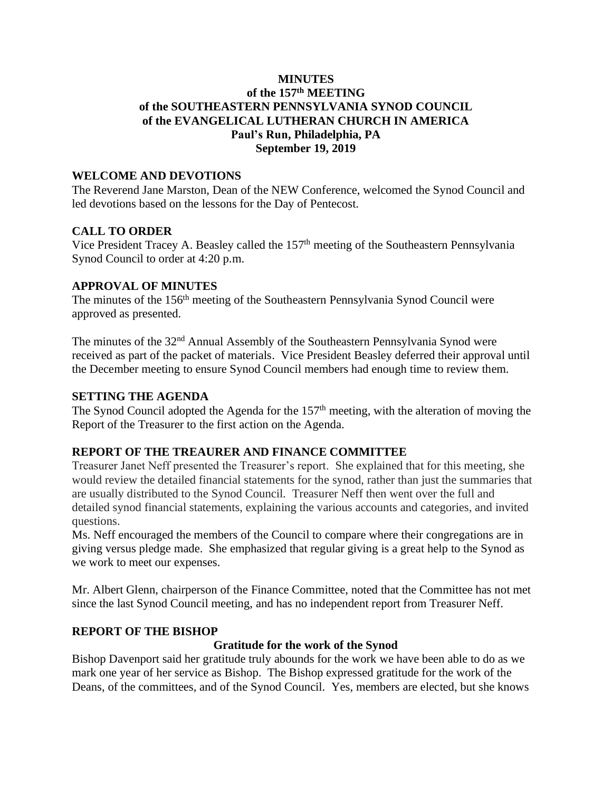# **MINUTES of the 157 th MEETING of the SOUTHEASTERN PENNSYLVANIA SYNOD COUNCIL of the EVANGELICAL LUTHERAN CHURCH IN AMERICA Paul's Run, Philadelphia, PA September 19, 2019**

#### **WELCOME AND DEVOTIONS**

The Reverend Jane Marston, Dean of the NEW Conference, welcomed the Synod Council and led devotions based on the lessons for the Day of Pentecost.

# **CALL TO ORDER**

Vice President Tracey A. Beasley called the 157<sup>th</sup> meeting of the Southeastern Pennsylvania Synod Council to order at 4:20 p.m.

### **APPROVAL OF MINUTES**

The minutes of the 156<sup>th</sup> meeting of the Southeastern Pennsylvania Synod Council were approved as presented.

The minutes of the 32<sup>nd</sup> Annual Assembly of the Southeastern Pennsylvania Synod were received as part of the packet of materials. Vice President Beasley deferred their approval until the December meeting to ensure Synod Council members had enough time to review them.

#### **SETTING THE AGENDA**

The Synod Council adopted the Agenda for the 157<sup>th</sup> meeting, with the alteration of moving the Report of the Treasurer to the first action on the Agenda.

#### **REPORT OF THE TREAURER AND FINANCE COMMITTEE**

Treasurer Janet Neff presented the Treasurer's report. She explained that for this meeting, she would review the detailed financial statements for the synod, rather than just the summaries that are usually distributed to the Synod Council. Treasurer Neff then went over the full and detailed synod financial statements, explaining the various accounts and categories, and invited questions.

Ms. Neff encouraged the members of the Council to compare where their congregations are in giving versus pledge made. She emphasized that regular giving is a great help to the Synod as we work to meet our expenses.

Mr. Albert Glenn, chairperson of the Finance Committee, noted that the Committee has not met since the last Synod Council meeting, and has no independent report from Treasurer Neff.

#### **REPORT OF THE BISHOP**

# **Gratitude for the work of the Synod**

Bishop Davenport said her gratitude truly abounds for the work we have been able to do as we mark one year of her service as Bishop. The Bishop expressed gratitude for the work of the Deans, of the committees, and of the Synod Council. Yes, members are elected, but she knows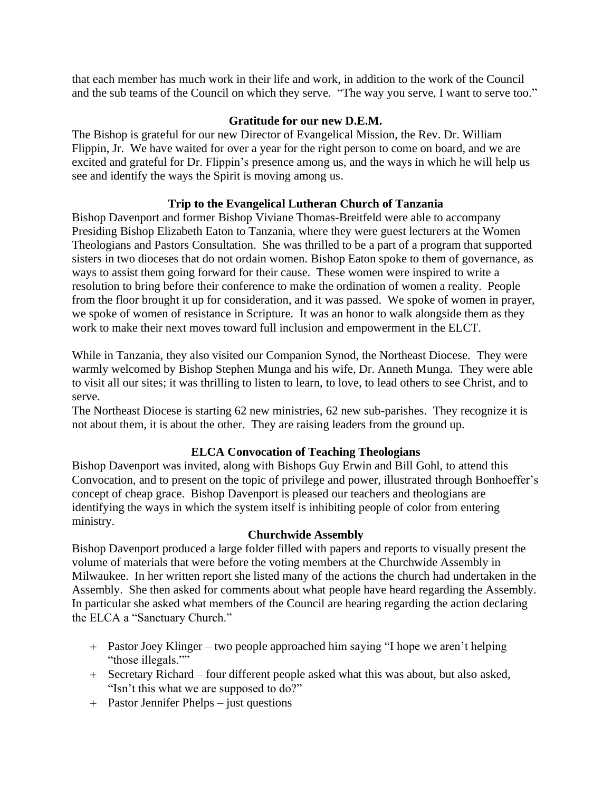that each member has much work in their life and work, in addition to the work of the Council and the sub teams of the Council on which they serve. "The way you serve, I want to serve too."

### **Gratitude for our new D.E.M.**

The Bishop is grateful for our new Director of Evangelical Mission, the Rev. Dr. William Flippin, Jr. We have waited for over a year for the right person to come on board, and we are excited and grateful for Dr. Flippin's presence among us, and the ways in which he will help us see and identify the ways the Spirit is moving among us.

# **Trip to the Evangelical Lutheran Church of Tanzania**

Bishop Davenport and former Bishop Viviane Thomas-Breitfeld were able to accompany Presiding Bishop Elizabeth Eaton to Tanzania, where they were guest lecturers at the Women Theologians and Pastors Consultation. She was thrilled to be a part of a program that supported sisters in two dioceses that do not ordain women. Bishop Eaton spoke to them of governance, as ways to assist them going forward for their cause. These women were inspired to write a resolution to bring before their conference to make the ordination of women a reality. People from the floor brought it up for consideration, and it was passed. We spoke of women in prayer, we spoke of women of resistance in Scripture. It was an honor to walk alongside them as they work to make their next moves toward full inclusion and empowerment in the ELCT.

While in Tanzania, they also visited our Companion Synod, the Northeast Diocese. They were warmly welcomed by Bishop Stephen Munga and his wife, Dr. Anneth Munga. They were able to visit all our sites; it was thrilling to listen to learn, to love, to lead others to see Christ, and to serve.

The Northeast Diocese is starting 62 new ministries, 62 new sub-parishes. They recognize it is not about them, it is about the other. They are raising leaders from the ground up.

# **ELCA Convocation of Teaching Theologians**

Bishop Davenport was invited, along with Bishops Guy Erwin and Bill Gohl, to attend this Convocation, and to present on the topic of privilege and power, illustrated through Bonhoeffer's concept of cheap grace. Bishop Davenport is pleased our teachers and theologians are identifying the ways in which the system itself is inhibiting people of color from entering ministry.

#### **Churchwide Assembly**

Bishop Davenport produced a large folder filled with papers and reports to visually present the volume of materials that were before the voting members at the Churchwide Assembly in Milwaukee. In her written report she listed many of the actions the church had undertaken in the Assembly. She then asked for comments about what people have heard regarding the Assembly. In particular she asked what members of the Council are hearing regarding the action declaring the ELCA a "Sanctuary Church."

- + Pastor Joey Klinger two people approached him saying "I hope we aren't helping "those illegals.""
- + Secretary Richard four different people asked what this was about, but also asked, "Isn't this what we are supposed to do?"
- + Pastor Jennifer Phelps just questions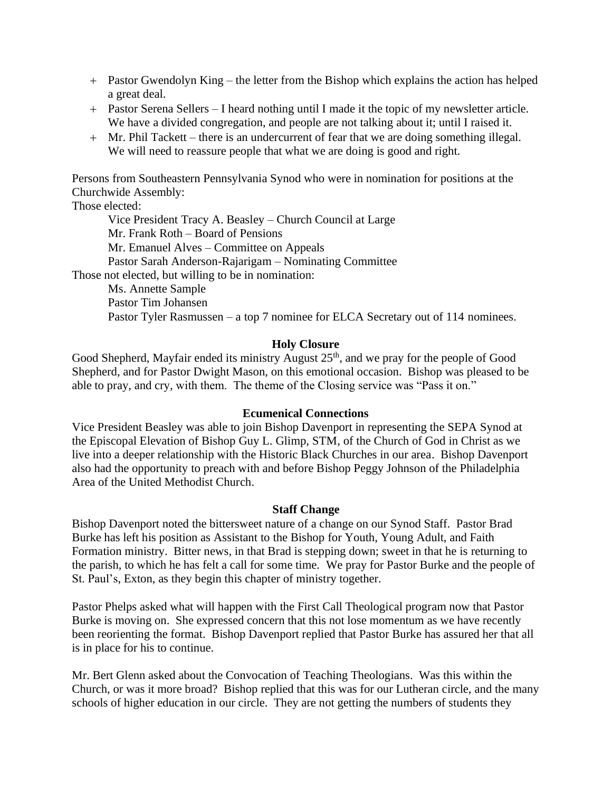- + Pastor Gwendolyn King the letter from the Bishop which explains the action has helped a great deal.
- + Pastor Serena Sellers I heard nothing until I made it the topic of my newsletter article. We have a divided congregation, and people are not talking about it; until I raised it.
- + Mr. Phil Tackett there is an undercurrent of fear that we are doing something illegal. We will need to reassure people that what we are doing is good and right.

Persons from Southeastern Pennsylvania Synod who were in nomination for positions at the Churchwide Assembly:

Those elected:

Vice President Tracy A. Beasley – Church Council at Large Mr. Frank Roth – Board of Pensions Mr. Emanuel Alves – Committee on Appeals Pastor Sarah Anderson-Rajarigam – Nominating Committee Those not elected, but willing to be in nomination: Ms. Annette Sample Pastor Tim Johansen Pastor Tyler Rasmussen – a top 7 nominee for ELCA Secretary out of 114 nominees.

#### **Holy Closure**

Good Shepherd, Mayfair ended its ministry August 25<sup>th</sup>, and we pray for the people of Good Shepherd, and for Pastor Dwight Mason, on this emotional occasion. Bishop was pleased to be able to pray, and cry, with them. The theme of the Closing service was "Pass it on."

#### **Ecumenical Connections**

Vice President Beasley was able to join Bishop Davenport in representing the SEPA Synod at the Episcopal Elevation of Bishop Guy L. Glimp, STM, of the Church of God in Christ as we live into a deeper relationship with the Historic Black Churches in our area. Bishop Davenport also had the opportunity to preach with and before Bishop Peggy Johnson of the Philadelphia Area of the United Methodist Church.

#### **Staff Change**

Bishop Davenport noted the bittersweet nature of a change on our Synod Staff. Pastor Brad Burke has left his position as Assistant to the Bishop for Youth, Young Adult, and Faith Formation ministry. Bitter news, in that Brad is stepping down; sweet in that he is returning to the parish, to which he has felt a call for some time. We pray for Pastor Burke and the people of St. Paul's, Exton, as they begin this chapter of ministry together.

Pastor Phelps asked what will happen with the First Call Theological program now that Pastor Burke is moving on. She expressed concern that this not lose momentum as we have recently been reorienting the format. Bishop Davenport replied that Pastor Burke has assured her that all is in place for his to continue.

Mr. Bert Glenn asked about the Convocation of Teaching Theologians. Was this within the Church, or was it more broad? Bishop replied that this was for our Lutheran circle, and the many schools of higher education in our circle. They are not getting the numbers of students they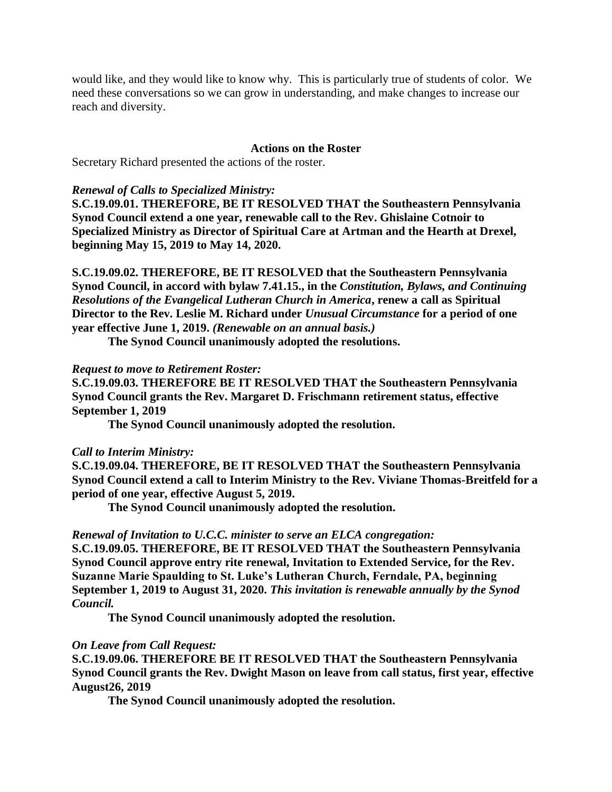would like, and they would like to know why. This is particularly true of students of color. We need these conversations so we can grow in understanding, and make changes to increase our reach and diversity.

#### **Actions on the Roster**

Secretary Richard presented the actions of the roster.

#### *Renewal of Calls to Specialized Ministry:*

**S.C.19.09.01. THEREFORE, BE IT RESOLVED THAT the Southeastern Pennsylvania Synod Council extend a one year, renewable call to the Rev. Ghislaine Cotnoir to Specialized Ministry as Director of Spiritual Care at Artman and the Hearth at Drexel, beginning May 15, 2019 to May 14, 2020.**

**S.C.19.09.02. THEREFORE, BE IT RESOLVED that the Southeastern Pennsylvania Synod Council, in accord with bylaw 7.41.15., in the** *Constitution, Bylaws, and Continuing Resolutions of the Evangelical Lutheran Church in America***, renew a call as Spiritual Director to the Rev. Leslie M. Richard under** *Unusual Circumstance* **for a period of one year effective June 1, 2019.** *(Renewable on an annual basis.)*

**The Synod Council unanimously adopted the resolutions.**

#### *Request to move to Retirement Roster:*

**S.C.19.09.03. THEREFORE BE IT RESOLVED THAT the Southeastern Pennsylvania Synod Council grants the Rev. Margaret D. Frischmann retirement status, effective September 1, 2019**

**The Synod Council unanimously adopted the resolution.**

#### *Call to Interim Ministry:*

**S.C.19.09.04. THEREFORE, BE IT RESOLVED THAT the Southeastern Pennsylvania Synod Council extend a call to Interim Ministry to the Rev. Viviane Thomas-Breitfeld for a period of one year, effective August 5, 2019.**

**The Synod Council unanimously adopted the resolution.**

#### *Renewal of Invitation to U.C.C. minister to serve an ELCA congregation:*

**S.C.19.09.05. THEREFORE, BE IT RESOLVED THAT the Southeastern Pennsylvania Synod Council approve entry rite renewal, Invitation to Extended Service, for the Rev. Suzanne Marie Spaulding to St. Luke's Lutheran Church, Ferndale, PA, beginning September 1, 2019 to August 31, 2020.** *This invitation is renewable annually by the Synod Council.*

**The Synod Council unanimously adopted the resolution.**

#### *On Leave from Call Request:*

**S.C.19.09.06. THEREFORE BE IT RESOLVED THAT the Southeastern Pennsylvania Synod Council grants the Rev. Dwight Mason on leave from call status, first year, effective August26, 2019**

**The Synod Council unanimously adopted the resolution.**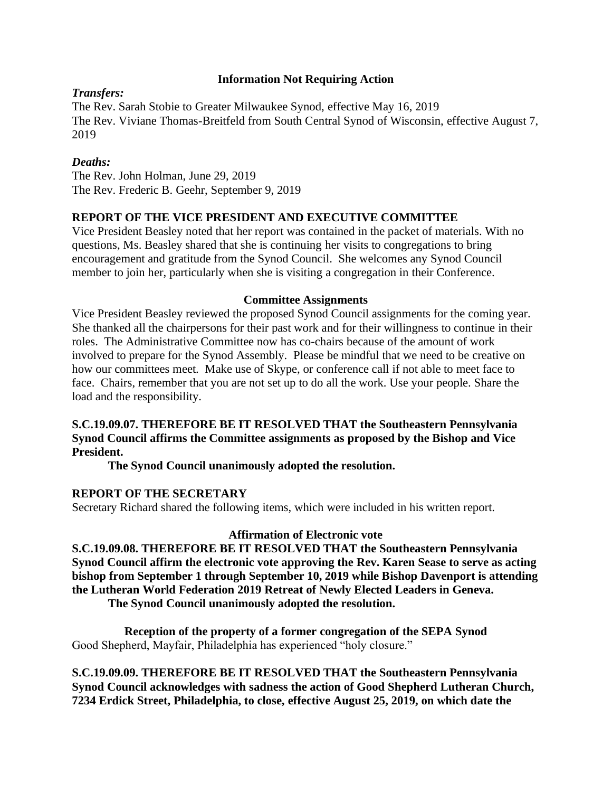## **Information Not Requiring Action**

# *Transfers:*

The Rev. Sarah Stobie to Greater Milwaukee Synod, effective May 16, 2019 The Rev. Viviane Thomas-Breitfeld from South Central Synod of Wisconsin, effective August 7, 2019

# *Deaths:*

The Rev. John Holman, June 29, 2019 The Rev. Frederic B. Geehr, September 9, 2019

# **REPORT OF THE VICE PRESIDENT AND EXECUTIVE COMMITTEE**

Vice President Beasley noted that her report was contained in the packet of materials. With no questions, Ms. Beasley shared that she is continuing her visits to congregations to bring encouragement and gratitude from the Synod Council. She welcomes any Synod Council member to join her, particularly when she is visiting a congregation in their Conference.

### **Committee Assignments**

Vice President Beasley reviewed the proposed Synod Council assignments for the coming year. She thanked all the chairpersons for their past work and for their willingness to continue in their roles. The Administrative Committee now has co-chairs because of the amount of work involved to prepare for the Synod Assembly. Please be mindful that we need to be creative on how our committees meet. Make use of Skype, or conference call if not able to meet face to face. Chairs, remember that you are not set up to do all the work. Use your people. Share the load and the responsibility.

# **S.C.19.09.07. THEREFORE BE IT RESOLVED THAT the Southeastern Pennsylvania Synod Council affirms the Committee assignments as proposed by the Bishop and Vice President.**

**The Synod Council unanimously adopted the resolution.**

# **REPORT OF THE SECRETARY**

Secretary Richard shared the following items, which were included in his written report.

#### **Affirmation of Electronic vote**

**S.C.19.09.08. THEREFORE BE IT RESOLVED THAT the Southeastern Pennsylvania Synod Council affirm the electronic vote approving the Rev. Karen Sease to serve as acting bishop from September 1 through September 10, 2019 while Bishop Davenport is attending the Lutheran World Federation 2019 Retreat of Newly Elected Leaders in Geneva. The Synod Council unanimously adopted the resolution.**

**Reception of the property of a former congregation of the SEPA Synod** Good Shepherd, Mayfair, Philadelphia has experienced "holy closure."

**S.C.19.09.09. THEREFORE BE IT RESOLVED THAT the Southeastern Pennsylvania Synod Council acknowledges with sadness the action of Good Shepherd Lutheran Church, 7234 Erdick Street, Philadelphia, to close, effective August 25, 2019, on which date the**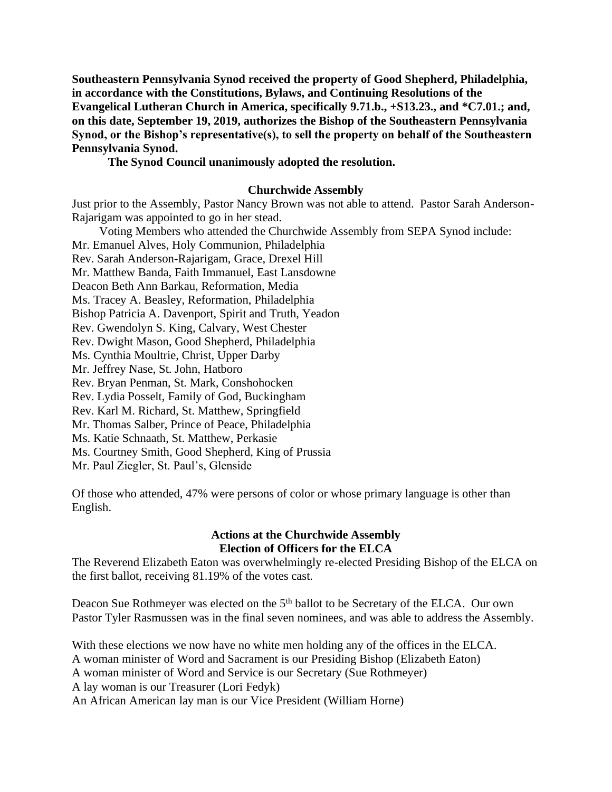**Southeastern Pennsylvania Synod received the property of Good Shepherd, Philadelphia, in accordance with the Constitutions, Bylaws, and Continuing Resolutions of the Evangelical Lutheran Church in America, specifically 9.71.b., +S13.23., and \*C7.01.; and, on this date, September 19, 2019, authorizes the Bishop of the Southeastern Pennsylvania Synod, or the Bishop's representative(s), to sell the property on behalf of the Southeastern Pennsylvania Synod.**

### **The Synod Council unanimously adopted the resolution.**

#### **Churchwide Assembly**

Just prior to the Assembly, Pastor Nancy Brown was not able to attend. Pastor Sarah Anderson-Rajarigam was appointed to go in her stead.

Voting Members who attended the Churchwide Assembly from SEPA Synod include: Mr. Emanuel Alves, Holy Communion, Philadelphia Rev. Sarah Anderson-Rajarigam, Grace, Drexel Hill Mr. Matthew Banda, Faith Immanuel, East Lansdowne Deacon Beth Ann Barkau, Reformation, Media Ms. Tracey A. Beasley, Reformation, Philadelphia Bishop Patricia A. Davenport, Spirit and Truth, Yeadon Rev. Gwendolyn S. King, Calvary, West Chester Rev. Dwight Mason, Good Shepherd, Philadelphia Ms. Cynthia Moultrie, Christ, Upper Darby Mr. Jeffrey Nase, St. John, Hatboro Rev. Bryan Penman, St. Mark, Conshohocken Rev. Lydia Posselt, Family of God, Buckingham Rev. Karl M. Richard, St. Matthew, Springfield Mr. Thomas Salber, Prince of Peace, Philadelphia Ms. Katie Schnaath, St. Matthew, Perkasie Ms. Courtney Smith, Good Shepherd, King of Prussia Mr. Paul Ziegler, St. Paul's, Glenside

Of those who attended, 47% were persons of color or whose primary language is other than English.

#### **Actions at the Churchwide Assembly Election of Officers for the ELCA**

The Reverend Elizabeth Eaton was overwhelmingly re-elected Presiding Bishop of the ELCA on the first ballot, receiving 81.19% of the votes cast.

Deacon Sue Rothmeyer was elected on the 5<sup>th</sup> ballot to be Secretary of the ELCA. Our own Pastor Tyler Rasmussen was in the final seven nominees, and was able to address the Assembly.

With these elections we now have no white men holding any of the offices in the ELCA. A woman minister of Word and Sacrament is our Presiding Bishop (Elizabeth Eaton) A woman minister of Word and Service is our Secretary (Sue Rothmeyer) A lay woman is our Treasurer (Lori Fedyk) An African American lay man is our Vice President (William Horne)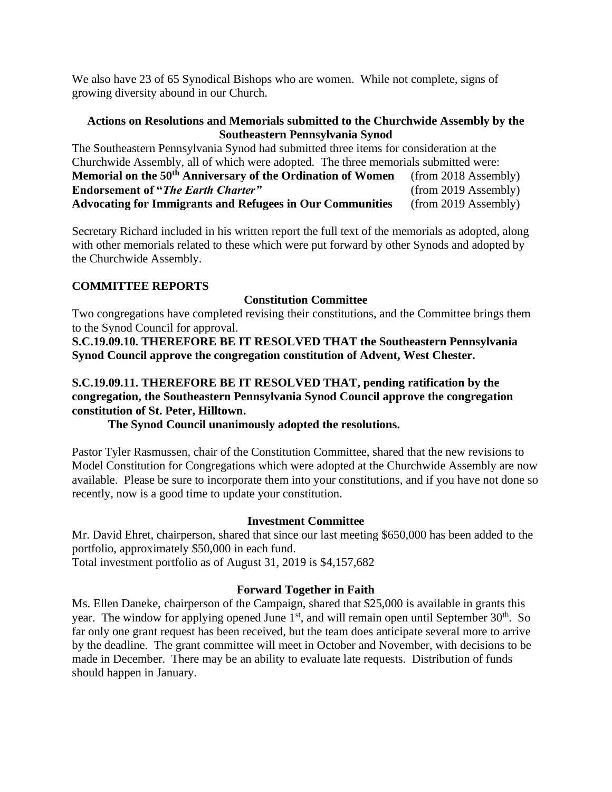We also have 23 of 65 Synodical Bishops who are women. While not complete, signs of growing diversity abound in our Church.

## **Actions on Resolutions and Memorials submitted to the Churchwide Assembly by the Southeastern Pennsylvania Synod**

The Southeastern Pennsylvania Synod had submitted three items for consideration at the Churchwide Assembly, all of which were adopted. The three memorials submitted were: **Memorial on the 50th Anniversary of the Ordination of Women** (from 2018 Assembly) **Endorsement of "***The Earth Charter***"** (from 2019 Assembly) **Advocating for Immigrants and Refugees in Our Communities** (from 2019 Assembly)

Secretary Richard included in his written report the full text of the memorials as adopted, along with other memorials related to these which were put forward by other Synods and adopted by the Churchwide Assembly.

### **COMMITTEE REPORTS**

# **Constitution Committee**

Two congregations have completed revising their constitutions, and the Committee brings them to the Synod Council for approval.

**S.C.19.09.10. THEREFORE BE IT RESOLVED THAT the Southeastern Pennsylvania Synod Council approve the congregation constitution of Advent, West Chester.**

**S.C.19.09.11. THEREFORE BE IT RESOLVED THAT, pending ratification by the congregation, the Southeastern Pennsylvania Synod Council approve the congregation constitution of St. Peter, Hilltown.**

**The Synod Council unanimously adopted the resolutions.**

Pastor Tyler Rasmussen, chair of the Constitution Committee, shared that the new revisions to Model Constitution for Congregations which were adopted at the Churchwide Assembly are now available. Please be sure to incorporate them into your constitutions, and if you have not done so recently, now is a good time to update your constitution.

# **Investment Committee**

Mr. David Ehret, chairperson, shared that since our last meeting \$650,000 has been added to the portfolio, approximately \$50,000 in each fund.

Total investment portfolio as of August 31, 2019 is \$4,157,682

# **Forward Together in Faith**

Ms. Ellen Daneke, chairperson of the Campaign, shared that \$25,000 is available in grants this year. The window for applying opened June  $1<sup>st</sup>$ , and will remain open until September 30<sup>th</sup>. So far only one grant request has been received, but the team does anticipate several more to arrive by the deadline. The grant committee will meet in October and November, with decisions to be made in December. There may be an ability to evaluate late requests. Distribution of funds should happen in January.